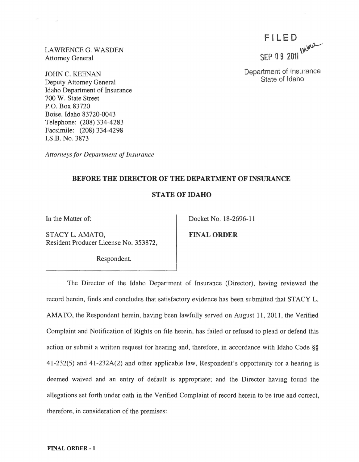LAWRENCE G. WASDEN Attorney General

 $\sim$ 

JOHN C. KEENAN Deputy Attorney General Idaho Department of Insurance 700 W. State Street P.O. Box 83720 Boise, Idaho 83720-0043 Telephone: (208) 334-4283 Facsimile: (208) 334-4298 I.S.B. No. 3873

*Attorneys for Department of Insurance* 

# **BEFORE THE DIRECTOR OF THE DEPARTMENT OF INSURANCE**

## **STATE OF IDAHO**

STACY L. AMATO, FINAL ORDER Resident Producer License No. 353872,

Respondent.

In the Matter of: Docket No. 18-2696-11

The Director of the Idaho Department of Insurance (Director), having reviewed the record herein, finds and concludes that satisfactory evidence has been submitted that STACY L. AMATO, the Respondent herein, having been lawfully served on August **11,2011,** the Verified Complaint and Notification of Rights on file herein, has failed or refused to plead or defend this action or submit a written request for hearing and, therefore, in accordance with Idaho Code §§ 41-232(5) and 41-232A(2) and other applicable law, Respondent's opportunity for a hearing is deemed waived and an entry of default is appropriate; and the Director having found the allegations set forth under oath in the Verified Complaint of record herein to be true and correct, therefore, in consideration of the premises:

F I LED **SEP 0 9** 2011~

Department of Insurance State of Idaho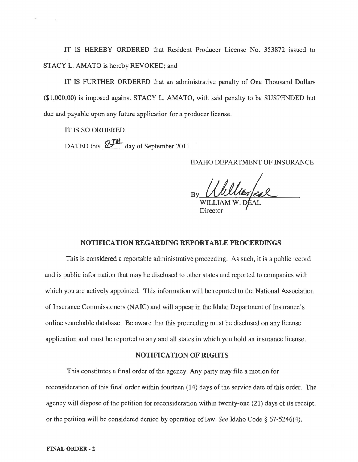IT IS HEREBY ORDERED that Resident Producer License No. 353872 issued to STACY L. AMATO is hereby REVOKED; and

IT IS FURTHER ORDERED that an administrative penalty of One Thousand Dollars (\$1,000.00) is imposed against STACY L. AMATO, with said penalty to be SUSPENDED but due and payable upon any future application for a producer license.

IT IS SO ORDERED.

DATED this **for the day** of September 2011.

IDAHO DEPARTMENT OF INSURANCE

 $_{\text{By}}$  Numer/est

WILLIAM W. DJ **Director** 

#### NOTIFICATION REGARDING REPORTABLE PROCEEDINGS

This is considered a reportable administrative proceeding. As such, it is a public record and is public information that may be disclosed to other states and reported to companies with which you are actively appointed. This information will be reported to the National Association of Insurance Commissioners (NAIC) and will appear in the Idaho Department of Insurance's online searchable database. Be aware that this proceeding must be disclosed on any license application and must be reported to any and all states in which you hold an insurance license.

#### NOTIFICATION OF RIGHTS

This constitutes a final order of the agency. Any party may file a motion for reconsideration of this final order within fourteen (14) days of the service date of this order. The agency will dispose of the petition for reconsideration within twenty-one (21) days of its receipt, or the petition will be considered denied by operation of law. *See* Idaho Code § 67-5246(4).